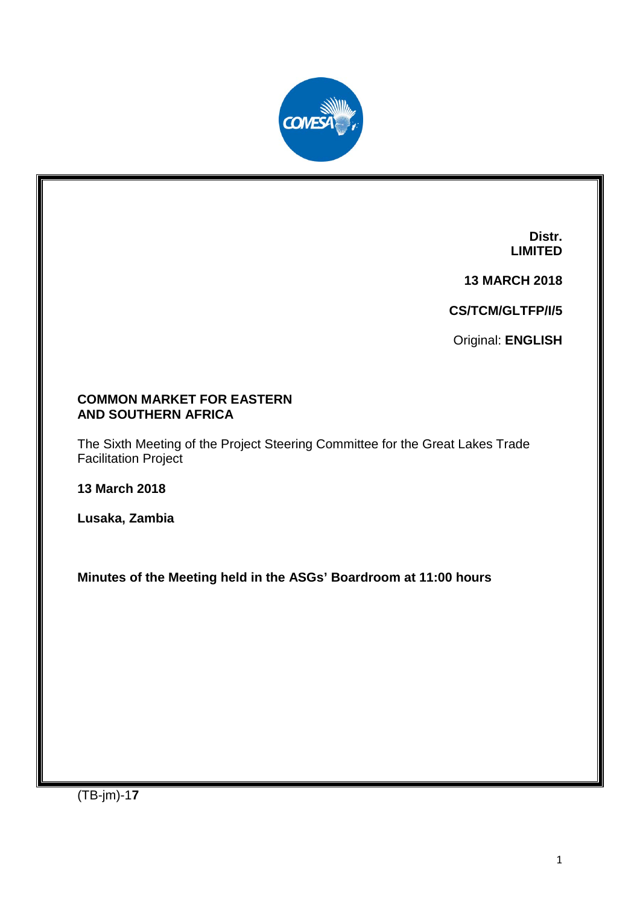

**Distr. LIMITED**

**13 MARCH 2018**

**CS/TCM/GLTFP/I/5**

Original: **ENGLISH**

### **COMMON MARKET FOR EASTERN AND SOUTHERN AFRICA**

The Sixth Meeting of the Project Steering Committee for the Great Lakes Trade Facilitation Project

**13 March 2018**

**Lusaka, Zambia**

**Minutes of the Meeting held in the ASGs' Boardroom at 11:00 hours**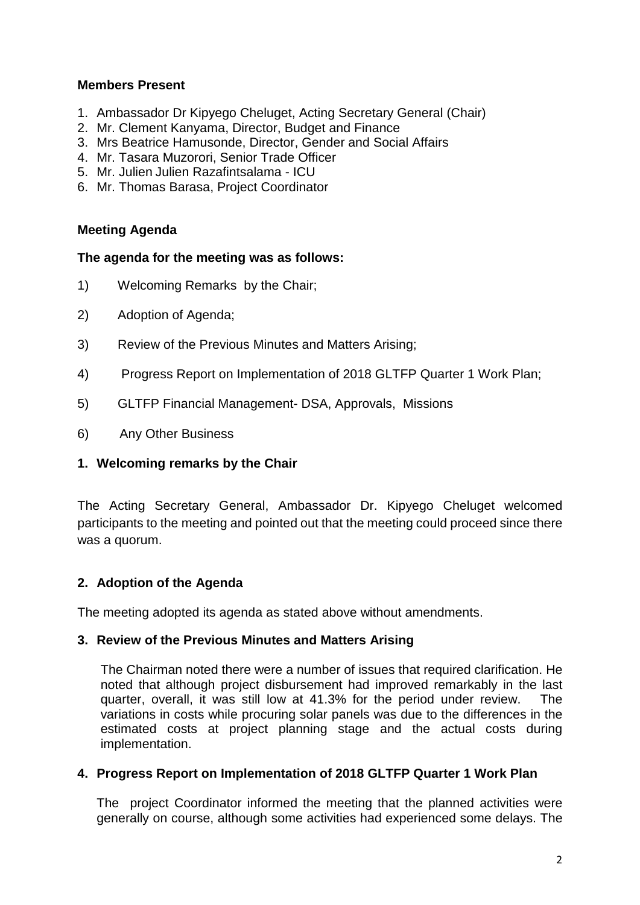### **Members Present**

- 1. Ambassador Dr Kipyego Cheluget, Acting Secretary General (Chair)
- 2. Mr. Clement Kanyama, Director, Budget and Finance
- 3. Mrs Beatrice Hamusonde, Director, Gender and Social Affairs
- 4. Mr. Tasara Muzorori, Senior Trade Officer
- 5. Mr. Julien Julien Razafintsalama ICU
- 6. Mr. Thomas Barasa, Project Coordinator

### **Meeting Agenda**

#### **The agenda for the meeting was as follows:**

- 1) Welcoming Remarks by the Chair;
- 2) Adoption of Agenda;
- 3) Review of the Previous Minutes and Matters Arising;
- 4) Progress Report on Implementation of 2018 GLTFP Quarter 1 Work Plan;
- 5) GLTFP Financial Management- DSA, Approvals, Missions
- 6) Any Other Business

# **1. Welcoming remarks by the Chair**

The Acting Secretary General, Ambassador Dr. Kipyego Cheluget welcomed participants to the meeting and pointed out that the meeting could proceed since there was a quorum.

# **2. Adoption of the Agenda**

The meeting adopted its agenda as stated above without amendments.

#### **3. Review of the Previous Minutes and Matters Arising**

The Chairman noted there were a number of issues that required clarification. He noted that although project disbursement had improved remarkably in the last quarter, overall, it was still low at 41.3% for the period under review. The variations in costs while procuring solar panels was due to the differences in the estimated costs at project planning stage and the actual costs during implementation.

#### **4. Progress Report on Implementation of 2018 GLTFP Quarter 1 Work Plan**

The project Coordinator informed the meeting that the planned activities were generally on course, although some activities had experienced some delays. The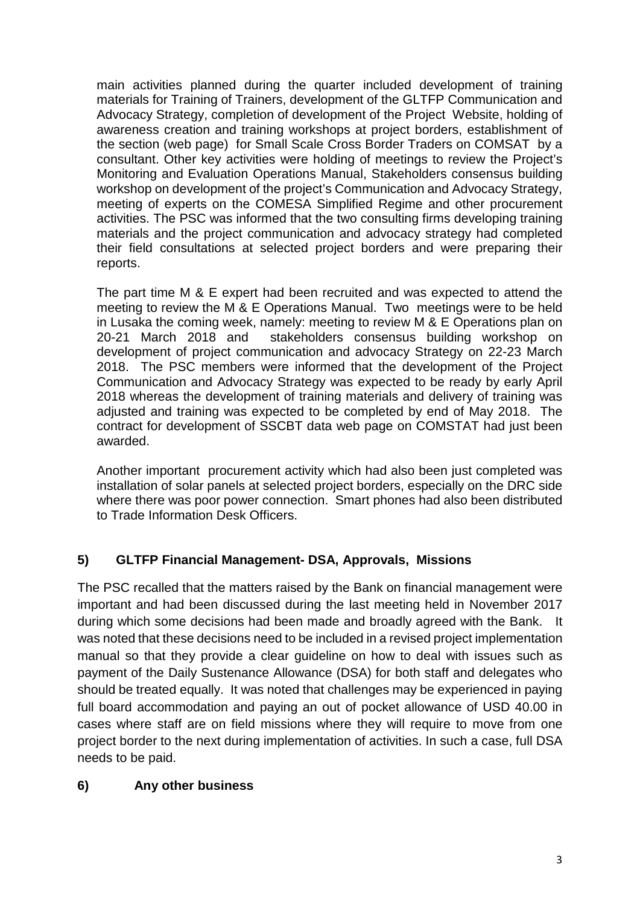main activities planned during the quarter included development of training materials for Training of Trainers, development of the GLTFP Communication and Advocacy Strategy, completion of development of the Project Website, holding of awareness creation and training workshops at project borders, establishment of the section (web page) for Small Scale Cross Border Traders on COMSAT by a consultant. Other key activities were holding of meetings to review the Project's Monitoring and Evaluation Operations Manual, Stakeholders consensus building workshop on development of the project's Communication and Advocacy Strategy, meeting of experts on the COMESA Simplified Regime and other procurement activities. The PSC was informed that the two consulting firms developing training materials and the project communication and advocacy strategy had completed their field consultations at selected project borders and were preparing their reports.

The part time M & E expert had been recruited and was expected to attend the meeting to review the M & E Operations Manual. Two meetings were to be held in Lusaka the coming week, namely: meeting to review M & E Operations plan on 20-21 March 2018 and stakeholders consensus building workshop on development of project communication and advocacy Strategy on 22-23 March 2018. The PSC members were informed that the development of the Project Communication and Advocacy Strategy was expected to be ready by early April 2018 whereas the development of training materials and delivery of training was adjusted and training was expected to be completed by end of May 2018. The contract for development of SSCBT data web page on COMSTAT had just been awarded.

Another important procurement activity which had also been just completed was installation of solar panels at selected project borders, especially on the DRC side where there was poor power connection. Smart phones had also been distributed to Trade Information Desk Officers.

# **5) GLTFP Financial Management- DSA, Approvals, Missions**

The PSC recalled that the matters raised by the Bank on financial management were important and had been discussed during the last meeting held in November 2017 during which some decisions had been made and broadly agreed with the Bank. It was noted that these decisions need to be included in a revised project implementation manual so that they provide a clear guideline on how to deal with issues such as payment of the Daily Sustenance Allowance (DSA) for both staff and delegates who should be treated equally. It was noted that challenges may be experienced in paying full board accommodation and paying an out of pocket allowance of USD 40.00 in cases where staff are on field missions where they will require to move from one project border to the next during implementation of activities. In such a case, full DSA needs to be paid.

# **6) Any other business**